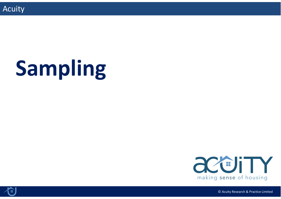

# **Sampling**





© Acuity Research & Practice Limited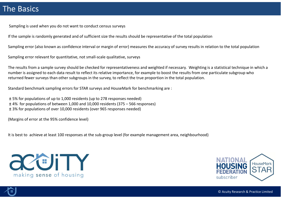## The Basics

Sampling is used when you do not want to conduct census surveys

If the sample is randomly generated and of sufficient size the results should be representative of the total population

Sampling error (also known as confidence interval or margin of error) measures the accuracy of survey results in relation to the total population

Sampling error relevant for quantitative, not small‐scale qualitative, surveys

The results from a sample survey should be checked for representativeness and weighted if necessary. Weighting is a statistical technique in which a number is assigned to each data result to reflect its relative importance, for example to boost the results from one particulate subgroup who returned fewer surveys than other subgroups in the survey, to reflect the true proportion in the total population.

Standard benchmark sampling errors for STAR surveys and HouseMark for benchmarking are :

± 5% for populations of up to 1,000 residents (up to 278 responses needed) ± 4% for populations of between 1,000 and 10,000 residents (375 – 566 responses)

± 3% for populations of over 10,000 residents (over 965 responses needed)

(Margins of error at the 95% confidence level)

It is best to achieve at least 100 responses at the sub‐group level (for example management area, neighbourhood)





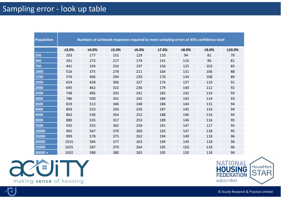## Sampling error ‐ look up table

| <b>Population</b> | Numbers of achieved responses required to meet sampling errors at 95% confidence level |       |       |       |       |       |       |        |
|-------------------|----------------------------------------------------------------------------------------|-------|-------|-------|-------|-------|-------|--------|
|                   | ±3.0%                                                                                  | ±4.0% | ±5.0% | ±6.0% | ±7.0% | ±8.0% | ±9.0% | ±10.0% |
| 250               | 203                                                                                    | 177   | 152   | 129   | 110   | 94    | 81    | 70     |
| 500               | 341                                                                                    | 273   | 217   | 174   | 141   | 116   | 96    | 81     |
| 750               | 441                                                                                    | 334   | 254   | 197   | 156   | 125   | 103   | 85     |
| 1000              | 516                                                                                    | 375   | 278   | 211   | 164   | 131   | 106   | 88     |
| 1250              | 576                                                                                    | 406   | 294   | 220   | 170   | 134   | 108   | 89     |
| 1500              | 624                                                                                    | 428   | 306   | 227   | 174   | 137   | 110   | 91     |
| 2000              | 695                                                                                    | 462   | 322   | 236   | 179   | 140   | 112   | 92     |
| 2500              | 748                                                                                    | 485   | 333   | 241   | 182   | 142   | 114   | 93     |
| 3000              | 786                                                                                    | 500   | 341   | 245   | 184   | 143   | 114   | 93     |
| 3500              | 819                                                                                    | 513   | 346   | 248   | 186   | 144   | 115   | 94     |
| 4000              | 843                                                                                    | 523   | 350   | 250   | 187   | 145   | 116   | 94     |
| 4500              | 862                                                                                    | 530   | 354   | 252   | 188   | 146   | 116   | 94     |
| 5000              | 880                                                                                    | 535   | 357   | 253   | 189   | 146   | 116   | 95     |
| 7500              | 935                                                                                    | 555   | 365   | 258   | 191   | 147   | 117   | 95     |
| 10000             | 965                                                                                    | 567   | 370   | 260   | 193   | 147   | 118   | 95     |
| 15000             | 999                                                                                    | 578   | 375   | 262   | 194   | 149   | 118   | 96     |
| 20000             | 1015                                                                                   | 584   | 377   | 263   | 194   | 149   | 118   | 96     |
| 25000             | 1025                                                                                   | 587   | 379   | 264   | 195   | 150   | 118   | 96     |
| $30000 +$         | 1032                                                                                   | 588   | 380   | 265   | 195   | 150   | 118   | 96     |





© Acuity Research & Practice Limited

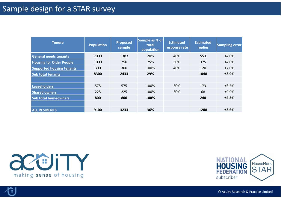## Sample design for a STAR survey

| <b>Tenure</b>                    | <b>Population</b> | <b>Proposed</b><br>sample | Sample as % of<br>total<br>population | <b>Estimated</b><br>response rate | <b>Estimated</b><br>replies | <b>Sampling error</b> |
|----------------------------------|-------------------|---------------------------|---------------------------------------|-----------------------------------|-----------------------------|-----------------------|
| <b>General needs tenants</b>     | 7000              | 1383                      | 20%                                   | 40%                               | 553                         | $±4.0\%$              |
| <b>Housing for Older People</b>  | 1000              | 750                       | 75%                                   | 50%                               | 375                         | ±4.0%                 |
| <b>Supported housing tenants</b> | 300               | 300                       | 100%                                  | 40%                               | 120                         | ±7.0%                 |
| <b>Sub total tenants</b>         | 8300              | 2433                      | 29%                                   |                                   | 1048                        | ±2.9%                 |
|                                  |                   |                           |                                       |                                   |                             |                       |
| <b>Leaseholders</b>              | 575               | 575                       | 100%                                  | 30%                               | 173                         | ±6.3%                 |
| <b>Shared owners</b>             | 225               | 225                       | 100%                                  | 30%                               | 68                          | ±9.9%                 |
| <b>Sub total homeowners</b>      | 800               | 800                       | 100%                                  |                                   | 240                         | ±5.3%                 |
|                                  |                   |                           |                                       |                                   |                             |                       |
| <b>ALL RESIDENTS</b>             | 9100              | 3233                      | 36%                                   |                                   | 1288                        | ±2.6%                 |